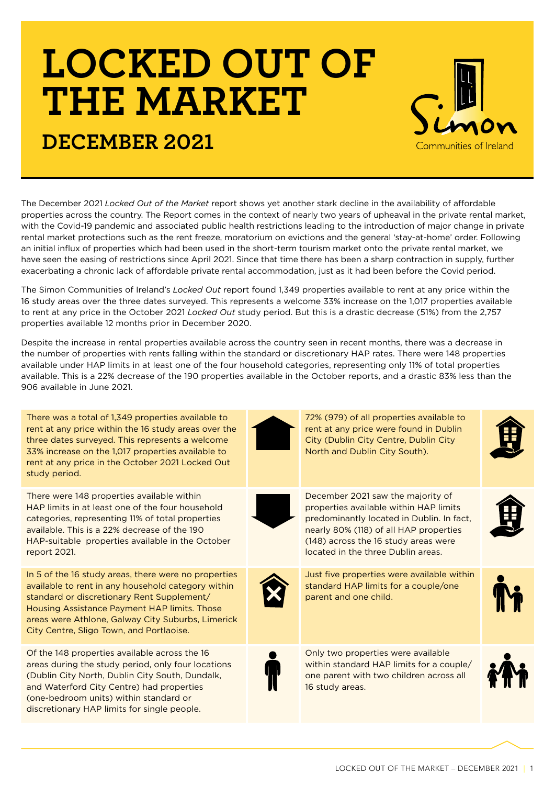## **LOCKED OUT OF THE MARKET**

Communities of Ireland

#### **DECEMBER 2021**

The December 2021 *Locked Out of the Market* report shows yet another stark decline in the availability of affordable properties across the country. The Report comes in the context of nearly two years of upheaval in the private rental market, with the Covid-19 pandemic and associated public health restrictions leading to the introduction of major change in private rental market protections such as the rent freeze, moratorium on evictions and the general 'stay-at-home' order. Following an initial influx of properties which had been used in the short-term tourism market onto the private rental market, we have seen the easing of restrictions since April 2021. Since that time there has been a sharp contraction in supply, further exacerbating a chronic lack of affordable private rental accommodation, just as it had been before the Covid period.

The Simon Communities of Ireland's *Locked Out* report found 1,349 properties available to rent at any price within the 16 study areas over the three dates surveyed. This represents a welcome 33% increase on the 1,017 properties available to rent at any price in the October 2021 *Locked Out* study period. But this is a drastic decrease (51%) from the 2,757 properties available 12 months prior in December 2020.

Despite the increase in rental properties available across the country seen in recent months, there was a decrease in the number of properties with rents falling within the standard or discretionary HAP rates. There were 148 properties available under HAP limits in at least one of the four household categories, representing only 11% of total properties available. This is a 22% decrease of the 190 properties available in the October reports, and a drastic 83% less than the 906 available in June 2021.

| There was a total of 1,349 properties available to<br>rent at any price within the 16 study areas over the<br>three dates surveyed. This represents a welcome<br>33% increase on the 1,017 properties available to<br>rent at any price in the October 2021 Locked Out<br>study period.                   | 72% (979) of all properties available to<br>rent at any price were found in Dublin<br>City (Dublin City Centre, Dublin City<br>North and Dublin City South).                                                                                     |  |
|-----------------------------------------------------------------------------------------------------------------------------------------------------------------------------------------------------------------------------------------------------------------------------------------------------------|--------------------------------------------------------------------------------------------------------------------------------------------------------------------------------------------------------------------------------------------------|--|
| There were 148 properties available within<br>HAP limits in at least one of the four household<br>categories, representing 11% of total properties<br>available. This is a 22% decrease of the 190<br>HAP-suitable properties available in the October<br>report 2021.                                    | December 2021 saw the majority of<br>properties available within HAP limits<br>predominantly located in Dublin. In fact,<br>nearly 80% (118) of all HAP properties<br>(148) across the 16 study areas were<br>located in the three Dublin areas. |  |
| In 5 of the 16 study areas, there were no properties<br>available to rent in any household category within<br>standard or discretionary Rent Supplement/<br>Housing Assistance Payment HAP limits. Those<br>areas were Athlone, Galway City Suburbs, Limerick<br>City Centre, Sligo Town, and Portlaoise. | Just five properties were available within<br>standard HAP limits for a couple/one<br>parent and one child.                                                                                                                                      |  |
| Of the 148 properties available across the 16<br>areas during the study period, only four locations<br>(Dublin City North, Dublin City South, Dundalk,<br>and Waterford City Centre) had properties<br>(one-bedroom units) within standard or<br>discretionary HAP limits for single people.              | Only two properties were available<br>within standard HAP limits for a couple/<br>one parent with two children across all<br>16 study areas.                                                                                                     |  |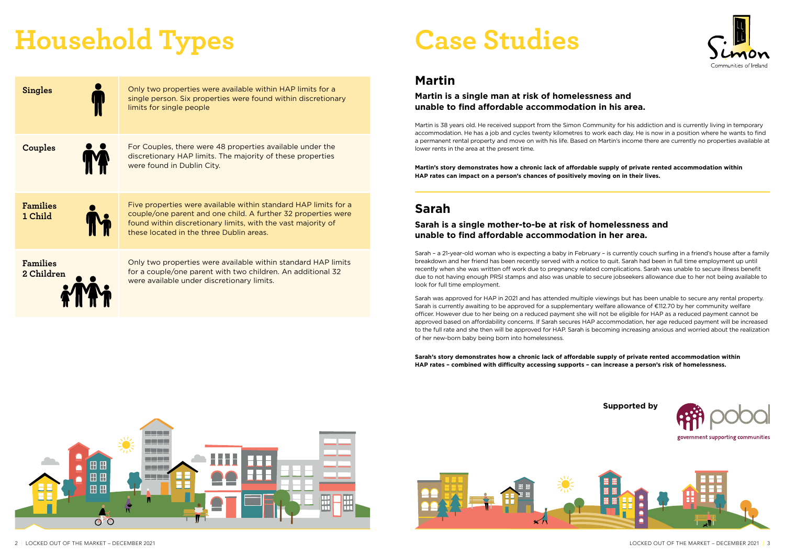

# **Household Types**

were available under discretionary limits. **Singles Conserverties** Only two properties were available within HAP limits for a single person. Six properties were found within discretionary limits for single people **Couples Couples For Couples, there were 48 properties available under the** discretionary HAP limits. The majority of these properties were found in Dublin City. **Families 1 Child** Five properties were available within standard HAP limits for a couple/one parent and one child. A further 32 properties were found within discretionary limits, with the vast majority of these located in the three Dublin areas. **Families 2 Children** Only two properties were available within standard HAP limits for a couple/one parent with two children. An additional 32

# **Case Studies**

### **Martin**

#### **Martin is a single man at risk of homelessness and unable to find affordable accommodation in his area.**

Martin is 38 years old. He received support from the Simon Community for his addiction and is currently living in temporary accommodation. He has a job and cycles twenty kilometres to work each day. He is now in a position where he wants to find a permanent rental property and move on with his life. Based on Martin's income there are currently no properties available at lower rents in the area at the present time.

**Martin's story demonstrates how a chronic lack of affordable supply of private rented accommodation within HAP rates can impact on a person's chances of positively moving on in their lives.**

### **Sarah**

#### **Sarah is a single mother-to-be at risk of homelessness and unable to find affordable accommodation in her area.**

Sarah – a 21-year-old woman who is expecting a baby in February – is currently couch surfing in a friend's house after a family breakdown and her friend has been recently served with a notice to quit. Sarah had been in full time employment up until recently when she was written off work due to pregnancy related complications. Sarah was unable to secure illness benefit due to not having enough PRSI stamps and also was unable to secure jobseekers allowance due to her not being available to look for full time employment.

Sarah was approved for HAP in 2021 and has attended multiple viewings but has been unable to secure any rental property. Sarah is currently awaiting to be approved for a supplementary welfare allowance of €112.70 by her community welfare officer. However due to her being on a reduced payment she will not be eligible for HAP as a reduced payment cannot be approved based on affordability concerns. If Sarah secures HAP accommodation, her age reduced payment will be increased to the full rate and she then will be approved for HAP. Sarah is becoming increasing anxious and worried about the realization of her new-born baby being born into homelessness.

**Sarah's story demonstrates how a chronic lack of affordable supply of private rented accommodation within HAP rates – combined with difficulty accessing supports – can increase a person's risk of homelessness.**





**Supported by**